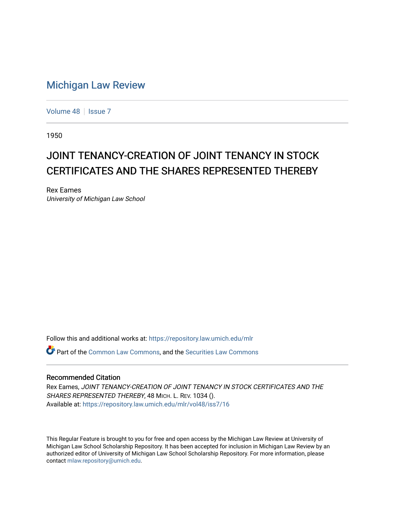## [Michigan Law Review](https://repository.law.umich.edu/mlr)

[Volume 48](https://repository.law.umich.edu/mlr/vol48) | [Issue 7](https://repository.law.umich.edu/mlr/vol48/iss7)

1950

## JOINT TENANCY-CREATION OF JOINT TENANCY IN STOCK CERTIFICATES AND THE SHARES REPRESENTED THEREBY

Rex Eames University of Michigan Law School

Follow this and additional works at: [https://repository.law.umich.edu/mlr](https://repository.law.umich.edu/mlr?utm_source=repository.law.umich.edu%2Fmlr%2Fvol48%2Fiss7%2F16&utm_medium=PDF&utm_campaign=PDFCoverPages) 

**P** Part of the [Common Law Commons,](http://network.bepress.com/hgg/discipline/1120?utm_source=repository.law.umich.edu%2Fmlr%2Fvol48%2Fiss7%2F16&utm_medium=PDF&utm_campaign=PDFCoverPages) and the Securities Law Commons

## Recommended Citation

Rex Eames, JOINT TENANCY-CREATION OF JOINT TENANCY IN STOCK CERTIFICATES AND THE SHARES REPRESENTED THEREBY, 48 MICH. L. REV. 1034 (). Available at: [https://repository.law.umich.edu/mlr/vol48/iss7/16](https://repository.law.umich.edu/mlr/vol48/iss7/16?utm_source=repository.law.umich.edu%2Fmlr%2Fvol48%2Fiss7%2F16&utm_medium=PDF&utm_campaign=PDFCoverPages) 

This Regular Feature is brought to you for free and open access by the Michigan Law Review at University of Michigan Law School Scholarship Repository. It has been accepted for inclusion in Michigan Law Review by an authorized editor of University of Michigan Law School Scholarship Repository. For more information, please contact [mlaw.repository@umich.edu](mailto:mlaw.repository@umich.edu).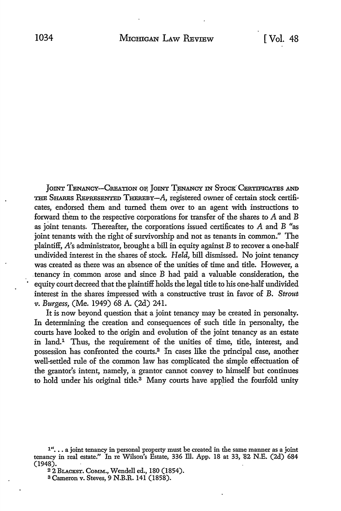JOINT TENANCY-CREATION OF, JOINT TENANCY IN STOCK CERTIFICATES AND THE SHARES REPRESENTED THEREBY-A, registered owner of certain stock certificates, endorsed them and turned them over to an agent with instructions to forward them *to* the respective corporations for transfer of the shares *to* A and B as joint tenants. Thereafter, the corporations issued certificates *to* A and B "as joint tenants with the right of survivorship and not as tenants in common." The plaintiff, *A's* administrator, brought a bill in equity against *B* to recover a one-half undivided interest in the shares of stock. *Held,* bill dismissed. No joint tenancy was created as there was an absence of the unities of time and title. However, a tenancy in common arose and since B had paid a valuable consideration, the equity court decreed that the plaintiff holds the legal title to his one-half undivided interest in the shares impressed with a constructive trust in favor of B. *Strout v. Burgess,* (Me. 1949) 68 A. (2d) 241.

It is now beyond question that a joint tenancy may be created in personalty. In determining the creation and consequences of such title in personalty, the courts have looked to the origin and evolution of the joint tenancy as an estate in land.1 Thus, the requirement of the unities of time, title, interest, and possession has confronted the courts.<sup>2</sup> In cases like the principal case, another well-settled rule of the common law has complicated the simple effectuation of the grantor's intent, namely, a grantor cannot convey to himself but continues to hold under his original title.<sup>3</sup> Many courts have applied the fourfold unity

<sup>&</sup>lt;sup>1"</sup>... a joint tenancy in personal property must be created in the same manner as a joint tenancy in real estate." In re Wilson's Estate, 336 Ill. App. 18 at 33, 82 N.E. (2d) 684 (1948).

<sup>&</sup>lt;sup>2</sup> 2 BLACKST. COMM., Wendell ed., 180 (1854).

<sup>3</sup> Cameron v. Steves, 9 N.B.R. 141 (1858).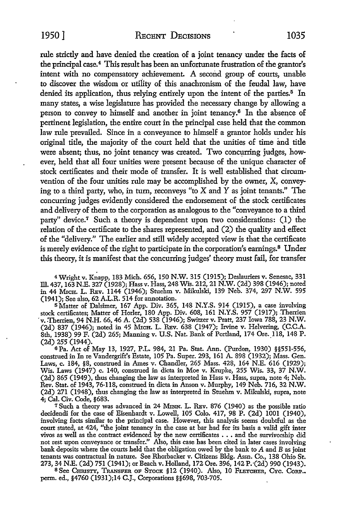1950] RECENT DECISIONS 1035

rule strictly and have denied the creation of a joint tenancy under the facts of the principal case.<sup>4</sup> This result has been an unfortunate frustration of the grantor's intent with no compensatory achievement. A second group of courts, unable to discover the wisdom or utility of this anachronism of the feudal law, have denied its application, thus relying entirely upon the intent of the parties.<sup>5</sup> In many states, a wise legislature has provided the necessary change by allowing a person to convey to himself and another in joint tenancy.6 In the absence of pertinent legislation, the entire court in the principal case held that the common law rule prevailed. Since in a conveyance to himself a grantor holds under his original title, the majority of the court held that the unities of time and title were absent; thus, no joint tenancy was created. Two concurring judges, however, held that all four unities were present because of the unique character of stock certificates and their mode of transfer. It is well established that circumvention of the four unities rule may be accomplished by the owner, X, conveying to a third party, who, in tum, reconveys "to X and Y as joint tenants." The concurring judges evidently considered the endorsement of the stock certificates and delivery of them to the corporation as analogous to the "conveyance to a third party" device.7 Such a theory is dependent upon two considerations: (1) the relation of the certificate to the shares represented, and (2) the quality and effect of the "delivery." The earlier and still widely accepted view is that the certificate is merely evidence of the right to participate in the corporation's earnings.<sup>8</sup> Under this theory, it is manifest that the concurring judges' theory must fail, for transfer

4 Wright v. Knapp, 183 Mich. 656, 150 N.W. 315 (1915); Deslauriers v. Senesac, 331 Ill. 437, 163 N.E. 327 (1928); Hass v. Hass, 248 Wis. 212, 21 N.W. (2d) 398 (1946); noted in 44 MrCH. L. REv. 1144 (1946); Stuehm v. Mikulski, 139 Neb. 374, 297 N.W. 595 (194 I); See also, 62 A.L.R. 514 for annotation.

<sup>5</sup>Matter of Dalsimer, 167 App. Div. 365, 148 N.Y.S. 914 (1915), a case involving stock certificates; Matter of Horler, 180 App. Div. 608, 161 N.Y.S. 957 (1917); Therrien 'v .. Therrien, 94 N.H. 66, 46 A. (2d) 538 (1946); Switzer v. Pratt, 237 Iowa 788, 23 N.W. (2d) 837 (1946); noted in 45 Mich. L. REv. 638 (1947); Irvine v. Helvering, (C.C.A. 8th, 1938) 99 F. (2d) 265; Manning v. U.S. Nat. Bank of Portland, 174 Ore. 118, 148 P. (2d) 255 (1944).

6 Pa. Act of May 13, 1927, P.L. 984, 21 Pa. Stat. Ann. (Purdon, 1930) §§551-556, construed in In re Vandergrift's Estate, 105 Pa. Super. 293, 161 A. 898 (1932); Mass. Gen. Laws, c. 184, §8, construed in Ames v. Chandler, 265 Mass. 428, 164 N.E. 616 (1929); Wis. Laws (1947) c. 140, construed in dicta in Moe v. Krupke, 255 Wis. 33, 37 N.W. (2d) 865 (1949), thus changing the law as interpreted in Hass v. Hass, supra, note 4; Neb. Rev. Stat. of 1943, 76-118, construed in dicta in Anson v. Murphy, 149 Neb. 716, 32 N.W. (2d) 271 (1948), thus changing the law as interpreted in Stuehm v. Mikulski, supra, note 4; Cal. Civ. Code, §683.

<sup>7</sup> Such a theory was advanced in 24 MINN. L. REV. 876 (1940) as the possible ratio decidendi for the case of Eisenhardt v. Lowell, 105 Colo. 417, 98 P. (2d) 1001 (1940), involving facts similar to the principal case. However, this analysis seems doubtful as the court stated, at 424, "the joint tenancy in the case at bar had for its basis a valid gift inter vivos as well as the contract evidenced by the new certificates • • • and the survivorship did not rest upon conveyance or transfer." Also, this case has been cited in later cases involving bank deposits where the courts held that the obligation owed by the bank to A and B as joint tenants was contractual in nature. See Rhorbacker v. Citizens Bldg. Assn. Co., 138 Ohio St. 273, 34 N.E. (2d) 751 (1941); or Beach v. Holland, 172 Ore. 396, 142 P.'(2d) 990 (1943).

<sup>8</sup> See Christy, Transfer of Stock §12 (1940). Also, 10 Fletcher, Cyc. Corp.. perm. ed., §4760 (1931);14 C.J., Corporations §§698, 703-705.